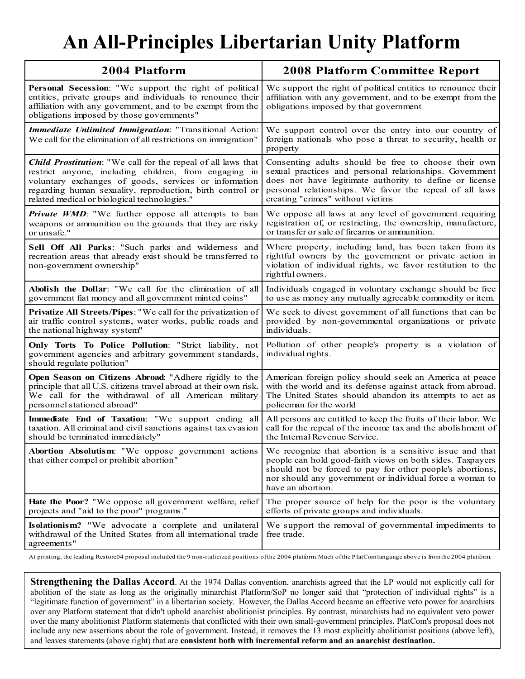# **An All-Principles Libertarian Unity Platform**

| 2004 Platform                                                                                                                                                                                                                   | <b>2008 Platform Committee Report</b>                                                                                                                                                                                                                               |
|---------------------------------------------------------------------------------------------------------------------------------------------------------------------------------------------------------------------------------|---------------------------------------------------------------------------------------------------------------------------------------------------------------------------------------------------------------------------------------------------------------------|
| Personal Secession: "We support the right of political<br>entities, private groups and individuals to renounce their<br>affiliation with any government, and to be exempt from the<br>obligations imposed by those governments" | We support the right of political entities to renounce their<br>affiliation with any government, and to be exempt from the<br>obligations imposed by that government                                                                                                |
| Immediate Unlimited Immigration: "Transitional Action:<br>We call for the elimination of all restrictions on immigration"                                                                                                       | We support control over the entry into our country of<br>foreign nationals who pose a threat to security, health or<br>property                                                                                                                                     |
| <b>Child Prostitution</b> : "We call for the repeal of all laws that                                                                                                                                                            | Consenting adults should be free to choose their own                                                                                                                                                                                                                |
| restrict anyone, including children, from engaging in                                                                                                                                                                           | sexual practices and personal relationships. Government                                                                                                                                                                                                             |
| voluntary exchanges of goods, services or information                                                                                                                                                                           | does not have legitimate authority to define or license                                                                                                                                                                                                             |
| regarding human sexuality, reproduction, birth control or                                                                                                                                                                       | personal relationships. We favor the repeal of all laws                                                                                                                                                                                                             |
| related medical or biological technologies."                                                                                                                                                                                    | creating "crimes" without victims                                                                                                                                                                                                                                   |
| <b>Private WMD</b> : "We further oppose all attempts to ban                                                                                                                                                                     | We oppose all laws at any level of government requiring                                                                                                                                                                                                             |
| weapons or ammunition on the grounds that they are risky                                                                                                                                                                        | registration of, or restricting, the ownership, manufacture,                                                                                                                                                                                                        |
| or unsafe."                                                                                                                                                                                                                     | or transfer or sale of firearms or ammunition.                                                                                                                                                                                                                      |
| Sell Off All Parks: "Such parks and wilderness and<br>recreation areas that already exist should be transferred to<br>non-government ownership"                                                                                 | Where property, including land, has been taken from its<br>rightful owners by the government or private action in<br>violation of individual rights, we favor restitution to the<br>rightful owners.                                                                |
| Abolish the Dollar: "We call for the elimination of all                                                                                                                                                                         | Individuals engaged in voluntary exchange should be free                                                                                                                                                                                                            |
| government fiat money and all government minted coins"                                                                                                                                                                          | to use as money any mutually agreeable commodity or item.                                                                                                                                                                                                           |
| Privatize All Streets/Pipes: "We call for the privatization of                                                                                                                                                                  | We seek to divest government of all functions that can be                                                                                                                                                                                                           |
| air traffic control systems, water works, public roads and                                                                                                                                                                      | provided by non-governmental organizations or private                                                                                                                                                                                                               |
| the national highway system"                                                                                                                                                                                                    | individuals.                                                                                                                                                                                                                                                        |
| Only Torts To Police Pollution: "Strict liability, not<br>government agencies and arbitrary government standards,<br>should regulate pollution"                                                                                 | Pollution of other people's property is a violation of<br>individual rights.                                                                                                                                                                                        |
| Open Season on Citizens Abroad: "Adhere rigidly to the                                                                                                                                                                          | American foreign policy should seek an America at peace                                                                                                                                                                                                             |
| principle that all U.S. citizens travel abroad at their own risk.                                                                                                                                                               | with the world and its defense against attack from abroad.                                                                                                                                                                                                          |
| We call for the withdrawal of all American military                                                                                                                                                                             | The United States should abandon its attempts to act as                                                                                                                                                                                                             |
| personnel stationed abroad"                                                                                                                                                                                                     | policeman for the world                                                                                                                                                                                                                                             |
| Immediate End of Taxation: "We support ending all                                                                                                                                                                               | All persons are entitled to keep the fruits of their labor. We                                                                                                                                                                                                      |
| taxation. All criminal and civil sanctions against tax evasion                                                                                                                                                                  | call for the repeal of the income tax and the abolishment of                                                                                                                                                                                                        |
| should be terminated immediately"                                                                                                                                                                                               | the Internal Revenue Service.                                                                                                                                                                                                                                       |
| Abortion Absolutism: "We oppose government actions<br>that either compel or prohibit abortion"                                                                                                                                  | We recognize that abortion is a sensitive issue and that<br>people can hold good-faith views on both sides. Taxpayers<br>should not be forced to pay for other people's abortions,<br>nor should any government or individual force a woman to<br>have an abortion. |
| Hate the Poor? "We oppose all government welfare, relief                                                                                                                                                                        | The proper source of help for the poor is the voluntary                                                                                                                                                                                                             |
| projects and "aid to the poor" programs."                                                                                                                                                                                       | efforts of private groups and individuals.                                                                                                                                                                                                                          |
| Isolationism? "We advocate a complete and unilateral<br>withdrawal of the United States from all international trade<br>agreements"                                                                                             | We support the removal of governmental impediments to<br>free trade.                                                                                                                                                                                                |

At printing, the leading Restore04 proposal included the 9 non-italicized positions ofthe 2004 platform. Much ofthe PlatComlanguage above is fromthe 2004 platform.

**Strengthening the Dallas Accord**. At the 1974 Dallas convention, anarchists agreed that the LP would not explicitly call for abolition of the state as long as the originally minarchist Platform/SoP no longer said that "protection of individual rights" is a "legitimate function of government" in a libertarian society. However, the Dallas Accord became an effective veto power for anarchists over any Platform statement that didn't uphold anarchist abolitionist principles. By contrast, minarchists had no equivalent veto power over the many abolitionist Platform statements that conflicted with their own small-government principles. PlatCom's proposal does not include any new assertions about the role of government. Instead, it removes the 13 most explicitly abolitionist positions (above left), and leaves statements (above right) that are **consistent both with incremental reform and an anarchist destination.**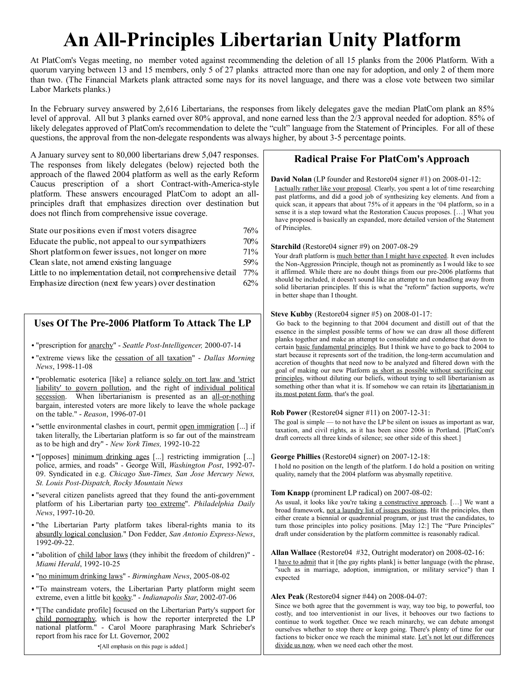# **An All-Principles Libertarian Unity Platform**

At PlatCom's Vegas meeting, no member voted against recommending the deletion of all 15 planks from the 2006 Platform. With a quorum varying between 13 and 15 members, only 5 of 27 planks attracted more than one nay for adoption, and only 2 of them more than two. (The Financial Markets plank attracted some nays for its novel language, and there was a close vote between two similar Labor Markets planks.)

In the February survey answered by 2,616 Libertarians, the responses from likely delegates gave the median PlatCom plank an 85% level of approval. All but 3 planks earned over 80% approval, and none earned less than the 2/3 approval needed for adoption. 85% of likely delegates approved of PlatCom's recommendation to delete the "cult" language from the Statement of Principles. For all of these questions, the approval from the non-delegate respondents was always higher, by about 3-5 percentage points.

A January survey sent to 80,000 libertarians drew 5,047 responses. The responses from likely delegates (below) rejected both the approach of the flawed 2004 platform as well as the early Reform Caucus prescription of a short Contract-with-America-style platform. These answers encouraged PlatCom to adopt an allprinciples draft that emphasizes direction over destination but does not flinch from comprehensive issue coverage.

| State our positions even if most voters disagree             | 76% |
|--------------------------------------------------------------|-----|
| Educate the public, not appeal to our sympathizers           | 70% |
| Short platform on fewer issues, not longer on more           | 71% |
| Clean slate, not amend existing language                     | 59% |
| Little to no implementation detail, not comprehensive detail | 77% |
| Emphasize direction (next few years) over destination        | 62% |

# **Uses Of The Pre-2006 Platform To Attack The LP**

- "prescription for anarchy" *Seattle Post-Intelligencer,* 2000-07-14
- "extreme views like the cessation of all taxation" *Dallas Morning News*, 1998-11-08
- "problematic esoterica [like] a reliance solely on tort law and 'strict liability' to govern pollution, and the right of individual political secession. When libertarianism is presented as an all-or-nothing bargain, interested voters are more likely to leave the whole package on the table." - *Reason*, 1996-07-01
- "settle environmental clashes in court, permit open immigration [...] if taken literally, the Libertarian platform is so far out of the mainstream as to be high and dry" - *New York Times,* 1992-10-22
- "[opposes] minimum drinking ages [...] restricting immigration [...] police, armies, and roads" - George Will, *Washington Post*, 1992-07- 09. Syndicated in e.g. *Chicago Sun-Times, San Jose Mercury News, St. Louis Post-Dispatch, Rocky Mountain News*
- "several citizen panelists agreed that they found the anti-government platform of his Libertarian party too extreme". *Philadelphia Daily News*, 1997-10-20.
- "the Libertarian Party platform takes liberal-rights mania to its absurdly logical conclusion." Don Fedder, *San Antonio Express-News*, 1992-09-22.
- "abolition of child labor laws (they inhibit the freedom of children)" *Miami Herald*, 1992-10-25
- "no minimum drinking laws" *Birmingham News*, 2005-08-02
- "To mainstream voters, the Libertarian Party platform might seem extreme, even a little bit kooky." - *Indianapolis Star*, 2002-07-06
- "[The candidate profile] focused on the Libertarian Party's support for child pornography, which is how the reporter interpreted the LP national platform." - Carol Moore paraphrasing Mark Schrieber's report from his race for Lt. Governor, 2002

●[All emphasis on this page is added.]

# **Radical Praise For PlatCom's Approach**

**David Nolan** (LP founder and Restore04 signer #1) on 2008-01-12:

I actually rather like your proposal. Clearly, you spent a lot of time researching past platforms, and did a good job of synthesizing key elements. And from a quick scan, it appears that about 75% of it appears in the '04 platform, so in a sense it is a step toward what the Restoration Caucus proposes. […] What you have proposed is basically an expanded, more detailed version of the Statement of Principles.

### **Starchild** (Restore04 signer #9) on 2007-08-29

Your draft platform is much better than I might have expected. It even includes the Non-Aggression Principle, though not as prominently as I would like to see it affirmed. While there are no doubt things from our pre-2006 platforms that should be included, it doesn't sound like an attempt to run headlong away from solid libertarian principles. If this is what the "reform" faction supports, we're in better shape than I thought.

### **Steve Kubby** (Restore04 signer #5) on 2008-01-17:

Go back to the beginning to that 2004 document and distill out of that the essence in the simplest possible terms of how we can draw all those different planks together and make an attempt to consolidate and condense that down to certain basic fundamental principles. But I think we have to go back to 2004 to start because it represents sort of the tradition, the long-term accumulation and accretion of thoughts that need now to be analyzed and filtered down with the goal of making our new Platform as short as possible without sacrificing our principles, without diluting our beliefs, without trying to sell libertarianism as something other than what it is. If somehow we can retain its libertarianism in its most potent form, that's the goal.

#### **Rob Power** (Restore04 signer #11) on 2007-12-31:

The goal is simple — to not have the LP be silent on issues as important as war, taxation, and civil rights, as it has been since 2006 in Portland. [PlatCom's draft corrects all three kinds of silence; see other side of this sheet.]

## **George Phillies** (Restore04 signer) on 2007-12-18:

I hold no position on the length of the platform. I do hold a position on writing quality, namely that the 2004 platform was abysmally repetitive.

## **Tom Knapp** (prominent LP radical) on 2007-08-02:

As usual, it looks like you're taking a constructive approach. [...] We want a broad framework, not a laundry list of issues positions. Hit the principles, then either create a biennial or quadrennial program, or just trust the candidates, to turn those principles into policy positions. [May 12:] The "Pure Principles" draft under consideration by the platform committee is reasonably radical.

## **Allan Wallace** (Restore04 #32, Outright moderator) on 2008-02-16:

I have to admit that it [the gay rights plank] is better language (with the phrase, "such as in marriage, adoption, immigration, or military service") than I expected

#### **Alex Peak** (Restore04 signer #44) on 2008-04-07:

Since we both agree that the government is way, way too big, to powerful, too costly, and too interventionist in our lives, it behooves our two factions to continue to work together. Once we reach minarchy, we can debate amongst ourselves whether to stop there or keep going. There's plenty of time for our factions to bicker once we reach the minimal state. Let's not let our differences divide us now, when we need each other the most.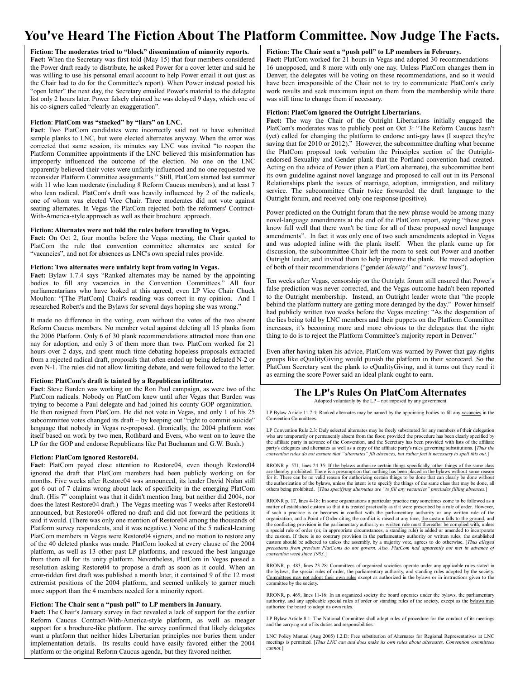# **You've Heard The Fiction About The Platform Committee. Now Judge The Facts.**

**Fiction: The moderates tried to "block" dissemination of minority reports.** Fact: When the Secretary was first told (May 15) that four members considered the Power draft ready to distribute, he asked Power for a cover letter and said he was willing to use his personal email account to help Power email it out (just as the Chair had to do for the Committee's report). When Power instead posted his "open letter" the next day, the Secretary emailed Power's material to the delegate list only 2 hours later. Power falsely claimed he was delayed 9 days, which one of his co-signers called "clearly an exaggeration".

#### **Fiction**: **PlatCom was "stacked" by "liars" on LNC.**

**Fact**: Two PlatCom candidates were incorrectly said not to have submitted sample planks to LNC, but were elected alternates anyway. When the error was corrected that same session, its minutes say LNC was invited "to reopen the Platform Committee appointments if the LNC believed this misinformation has improperly influenced the outcome of the election. No one on the LNC apparently believed their votes were unfairly influenced and no one requested we reconsider Platform Committee assignments." Still, PlatCom started last summer with 11 who lean moderate (including 8 Reform Caucus members), and at least 7 who lean radical. PlatCom's draft was heavily influenced by 2 of the radicals, one of whom was elected Vice Chair. Three moderates did not vote against seating alternates. In Vegas the PlatCom rejected both the reformers' Contract-With-America-style approach as well as their brochure approach.

#### **Fiction: Alternates were not told the rules before traveling to Vegas.**

Fact: On Oct 2, four months before the Vegas meeting, the Chair quoted to PlatCom the rule that convention committee alternates are seated for "vacancies", and not for absences as LNC's own special rules provide.

#### **Fiction: Two alternates were unfairly kept from voting in Vegas.**

**Fact:** Bylaw 1.7.4 says "Ranked alternates may be named by the appointing bodies to fill any vacancies in the Convention Committees." All four parliamentarians who have looked at this agreed, even LP Vice Chair Chuck Moulton: "[The PlatCom] Chair's reading was correct in my opinion. And I researched Robert's and the Bylaws for several days hoping she was wrong."

It made no difference in the voting, even without the votes of the two absent Reform Caucus members. No member voted against deleting all 15 planks from the 2006 Platform. Only 6 of 30 plank recommendations attracted more than one nay for adoption, and only 3 of them more than two. PlatCom worked for 21 hours over 2 days, and spent much time debating hopeless proposals extracted from a rejected radical draft, proposals that often ended up being defeated N-2 or even N-1. The rules did not allow limiting debate, and were followed to the letter.

#### **Fiction: PlatCom's draft is tainted by a Republican infiltrator.**

**Fact**: Steve Burden was working on the Ron Paul campaign, as were two of the PlatCom radicals. Nobody on PlatCom knew until after Vegas that Burden was trying to become a Paul delegate and had joined his county GOP organization. He then resigned from PlatCom. He did not vote in Vegas, and only 1 of his 25 subcommittee votes changed its draft – by keeping out "right to commit suicide" language that nobody in Vegas re-proposed. (Ironically, the 2004 platform was itself based on work by two men, Rothbard and Evers, who went on to leave the LP for the GOP and endorse Republicans like Pat Buchanan and G.W. Bush.)

#### **Fiction: PlatCom ignored Restore04.**

**Fact**: PlatCom payed close attention to Restore04, even though Restore04 ignored the draft that PlatCom members had been publicly working on for months. Five weeks after Restore04 was announced, its leader David Nolan still got 6 out of 7 claims wrong about lack of specificity in the emerging PlatCom draft. (His  $7<sup>th</sup>$  complaint was that it didn't mention Iraq, but neither did 2004, nor does the latest Restore04 draft.) The Vegas meeting was 7 weeks after Restore04 announced, but Restore04 offered no draft and did not forward the petitions it said it would. (There was only one mention of Restore04 among the thousands of Platform survey respondents, and it was negative.) None of the 5 radical-leaning PlatCom members in Vegas were Restore04 signers, and no motion to restore any of the 40 deleted planks was made. PlatCom looked at every clause of the 2004 platform, as well as 13 other past LP platforms, and rescued the best language from them all for its unity platform. Nevertheless, PlatCom in Vegas passed a resolution asking Restore04 to propose a draft as soon as it could. When an error-ridden first draft was published a month later, it contained 9 of the 12 most extremist positions of the 2004 platform, and seemed unlikely to garner much more support than the 4 members needed for a minority report.

#### **Fiction: The Chair sent a "push poll" to LP members in January.**

**Fact:** The Chair's January survey in fact revealed a lack of support for the earlier Reform Caucus Contract-With-America-style platform, as well as meager support for a brochure-like platform. The survey confirmed that likely delegates want a platform that neither hides Libertarian principles nor buries them under implementation details. Its results could have easily favored either the 2004 platform or the original Reform Caucus agenda, but they favored neither.

#### **Fiction: The Chair sent a "push poll" to LP members in February.**

Fact: PlatCom worked for 21 hours in Vegas and adopted 30 recommendations -16 unopposed, and 8 more with only one nay. Unless PlatCom changes them in Denver, the delegates will be voting on these recommendations, and so it would have been irresponsible of the Chair not to try to communicate PlatCom's early work results and seek maximum input on them from the membership while there was still time to change them if necessary.

#### **Fiction: PlatCom ignored the Outright Libertarians.**

**Fact:** The way the Chair of the Outright Libertarians initially engaged the PlatCom's moderates was to publicly post on Oct 3: "The Reform Caucus hasn't (yet) called for changing the platform to endorse anti-gay laws (I suspect they're saving that for 2010 or 2012)." However, the subcommittee drafting what became the PlatCom proposal took verbatim the Principles section of the Outrightendorsed Sexuality and Gender plank that the Portland convention had created. Acting on the advice of Power (then a PlatCom alternate), the subcommittee bent its own guideline against novel language and proposed to call out in its Personal Relationships plank the issues of marriage, adoption, immigration, and military service. The subcommittee Chair twice forwarded the draft language to the Outright forum, and received only one response (positive).

Power predicted on the Outright forum that the new phrase would be among many novel-language amendments at the end of the PlatCom report, saying "these guys know full well that there won't be time for all of these proposed novel language amendments". In fact it was only one of two such amendments adopted in Vegas and was adopted inline with the plank itself. When the plank came up for discussion, the subcommittee Chair left the room to seek out Power and another Outright leader, and invited them to help improve the plank. He moved adoption of both of their recommendations ("gender *identity*" and "*current* laws").

Ten weeks after Vegas, censorship on the Outright forum still ensured that Power's false prediction was never corrected, and the Vegas outcome hadn't been reported to the Outright membership. Instead, an Outright leader wrote that "the people behind the platform nuttery are getting more deranged by the day." Power himself had publicly written two weeks before the Vegas meeting: "As the desperation of the lies being told by LNC members and their puppets on the Platform Committee increases, it's becoming more and more obvious to the delegates that the right thing to do is to reject the Platform Committee's majority report in Denver."

Even after having taken his advice, PlatCom was warned by Power that gay-rights groups like eQualityGiving would punish the platform in their scorecard. So the PlatCom Secretary sent the plank to eQualityGiving, and it turns out they read it as earning the score Power said an ideal plank ought to earn.

# **The LP's Rules On PlatCom Alternates**

Adopted voluntarily by the LP – not imposed by any government

LP Bylaw Article 11.7.4: Ranked alternates may be named by the appointing bodies to fill any vacancies in the Convention Committees.

LP Convention Rule 2.3: Duly selected alternates may be freely substituted for any members of their delegation who are temporarily or permanently absent from the floor, provided the procedure has been clearly specified by the affiliate party in advance of the Convention, and the Secretary has been provided with lists of the affiliate party's delegates and alternates as well as a copy of the affiliate party's rules governing substitutions. [*Thus the convention rules do not assume that "alternates" fill absences, but rather feel it necessary to spell this out*.]

RRONR p. 571, lines 24-35: If the bylaws authorize certain things specifically, other things of the same class are thereby prohibited. There is a presumption that nothing has been placed in the bylaws without some reason for it. There can be no valid reason for authorizing certain things to be done that can clearly be done without the authorization of the bylaws, unless the intent is to specify the things of the same class that may be done, all others being prohibited. [*Thus specifying alternates are "to fill any vacancies" precludes filling absences*.]

RRONR p. 17, lines 4-18: In some organizations a particular practice may sometimes come to be followed as a matter of established custom so that it is treated practically as if it were prescribed by a rule of order. However, if such a practice is or becomes in conflict with the parliamentary authority or any written rule of the organization, and a Point of Order citing the conflict is raised at any time, the custom falls to the ground, and the conflicting provision in the parliamentary authority or written rule must thereafter be complied with, unless a special rule of order (or, in appropriate circumstances, a standing rule) is added or amended to incorporate the custom. If there is no contrary provision in the parliamentary authority or written rules, the established custom should be adhered to unless the assembly, by a majority vote, agrees to do otherwise. [Thus alleged<br>precedents from previous PlatComs do not govern. Also, PlatCom had apparently not met in advance of *convention week since 1983.*]

RRONR, p. 483, lines 23-28: Committees of organized societies operate under any applicable rules stated in the bylaws, the special rules of order, the parliamentary authority, and standing rules adopted by the society.<br>Committees may not adopt their own rules except as authorized in the bylaws or in instructions given to the committee by the society.

RRONR, p. 469, lines 11-16: In an organized society the board operates under the bylaws, the parliamentary authority, and any applicable special rules of order or standing rules of the society, except as the bylaws may authorize the board to adopt its own rules.

LP Bylaw Article 8.1: The National Committee shall adopt rules of procedure for the conduct of its meetings and the carrying out of its duties and responsibilities.

LNC Policy Manual (Aug 2005) I.2.D: Free substitution of Alternates for Regional Representatives at LNC meetings is permitted. [*Thus LNC can and does make its own rules about alternates. Convention committees cannot.*]